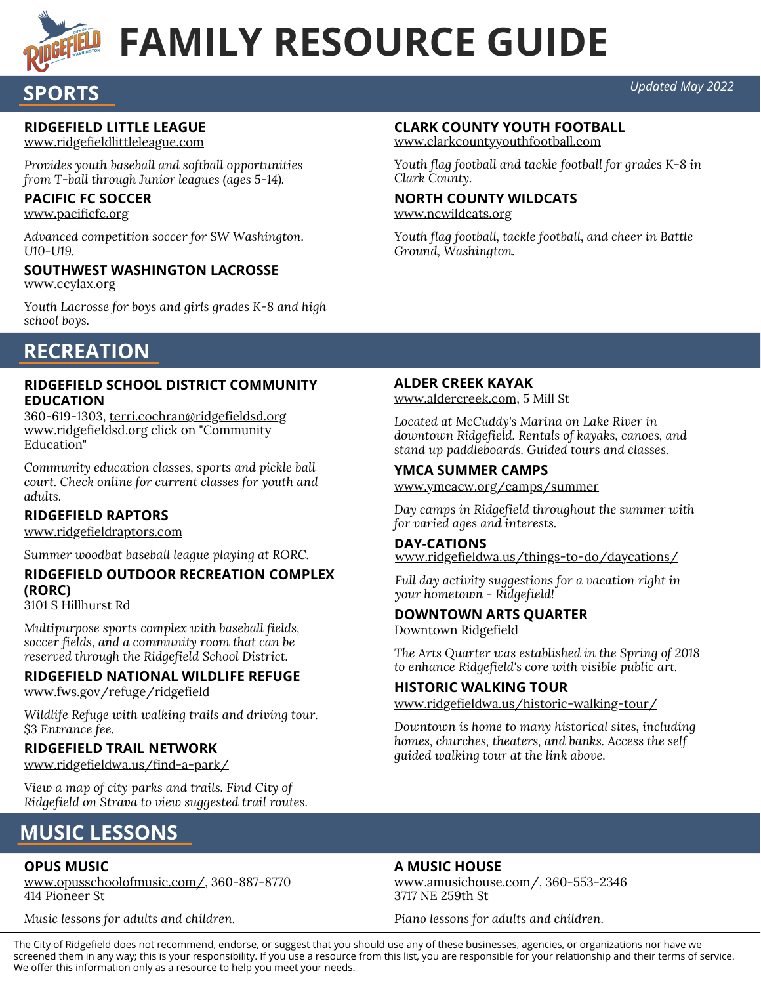

**SPORTS**

# **FAMILY RESOURCE GUIDE**

#### *Updated May 2022*

#### **RIDGEFIELD LITTLE LEAGUE**

www.ridgefieldlittleleague.com

*Provides youth baseball and softball opportunities from T-ball through Junior leagues (ages 5-14).*

#### **PACIFIC FC SOCCER**

www.pacificfc.org

*Advanced competition soccer for SW Washington. U10-U19.*

#### www.ccylax.org **SOUTHWEST WASHINGTON LACROSSE**

*Youth Lacrosse for boys and girls grades K-8 and high school boys.*

#### **CLARK COUNTY YOUTH FOOTBALL**

www.clarkcountyyouthfootball.com

*Youth flag football and tackle football for grades K-8 in Clark County.*

#### **NORTH COUNTY WILDCATS**

www.ncwildcats.org

*Youth flag football, tackle football, and cheer in Battle Ground, Washington.*

## **RECREATION**

#### **RIDGEFIELD SCHOOL DISTRICT COMMUNITY EDUCATION**

360-619-1303, terri.cochran@ridgefieldsd.org www.ridgefieldsd.org click on "Community Education"

*Community education classes, sports and pickle ball court. Check online for current classes for youth and adults.*

#### **RIDGEFIELD RAPTORS**

www.ridgefieldraptors.com

*Summer woodbat baseball league playing at RORC.*

#### **RIDGEFIELD OUTDOOR RECREATION COMPLEX (RORC)**

3101 S Hillhurst Rd

*Multipurpose sports complex with baseball fields, soccer fields, and a community room that can be reserved through the Ridgefield School District.*

#### **RIDGEFIELD NATIONAL WILDLIFE REFUGE**

www.fws.gov/refuge/ridgefield

*Wildlife Refuge with walking trails and driving tour. \$3 Entrance fee.*

#### **RIDGEFIELD TRAIL NETWORK**

www.ridgefieldwa.us/find-a-park/

*View a map of city parks and trails. Find City of Ridgefield on Strava to view suggested trail routes.*

#### **ALDER CREEK KAYAK**

www.aldercreek.com, 5 Mill St

*Located at McCuddy's Marina on Lake River in downtown Ridgefield. Rentals of kayaks, canoes, and stand up paddleboards. Guided tours and classes.*

#### **YMCA SUMMER CAMPS**

www.ymcacw.org/camps/summer

*Day camps in Ridgefield throughout the summer with for varied ages and interests.*

#### **DAY-CATIONS**

www.ridgefieldwa.us/things-to-do/daycations/

*Full day activity suggestions for a vacation right in your hometown - Ridgefield!*

#### **DOWNTOWN ARTS QUARTER**

Downtown Ridgefield

*The Arts Quarter was established in the Spring of 2018 to enhance Ridgefield's core with visible public art.*

#### **HISTORIC WALKING TOUR**

www.ridgefieldwa.us/historic-walking-tour/

*Downtown is home to many historical sites, including homes, churches, theaters, and banks. Access the self guided walking tour at the link above.*

# **MUSIC LESSONS**

#### **OPUS MUSIC**

www.opusschoolofmusic.com/, 360-887-8770 414 Pioneer St

*Music lessons for adults and children.*

#### **A MUSIC HOUSE**

www.amusichouse.com/, 360-553-2346 3717 NE 259th St

*Piano lessons for adults and children.*

The City of Ridgefield does not recommend, endorse, or suggest that you should use any of these businesses, agencies, or organizations nor have we screened them in any way; this is your responsibility. If you use a resource from this list, you are responsible for your relationship and their terms of service. We offer this information only as a resource to help you meet your needs.